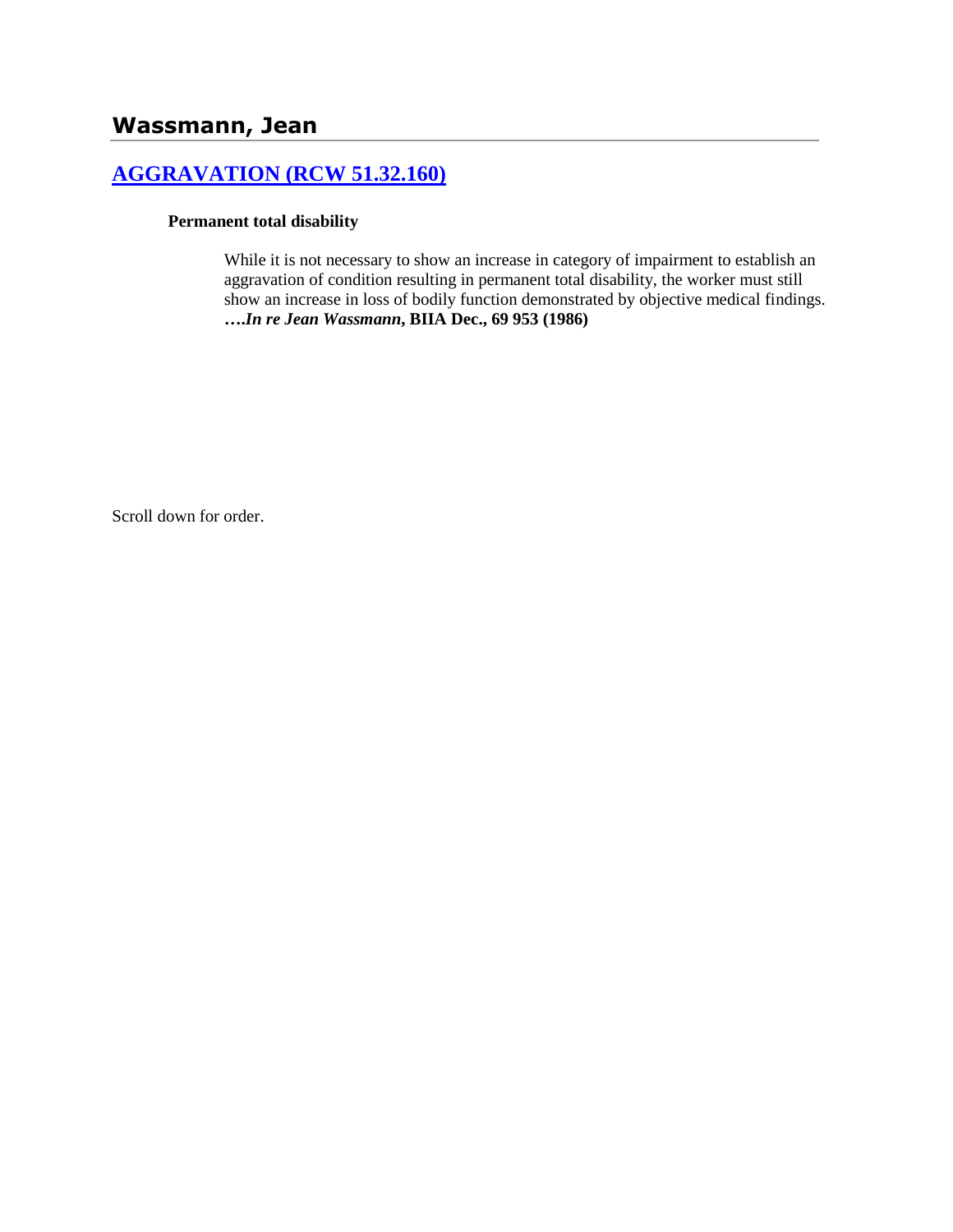# **[AGGRAVATION \(RCW 51.32.160\)](http://www.biia.wa.gov/SDSubjectIndex.html#AGGRAVATION)**

#### **Permanent total disability**

While it is not necessary to show an increase in category of impairment to establish an aggravation of condition resulting in permanent total disability, the worker must still show an increase in loss of bodily function demonstrated by objective medical findings. **….***In re Jean Wassmann***, BIIA Dec., 69 953 (1986)** 

Scroll down for order.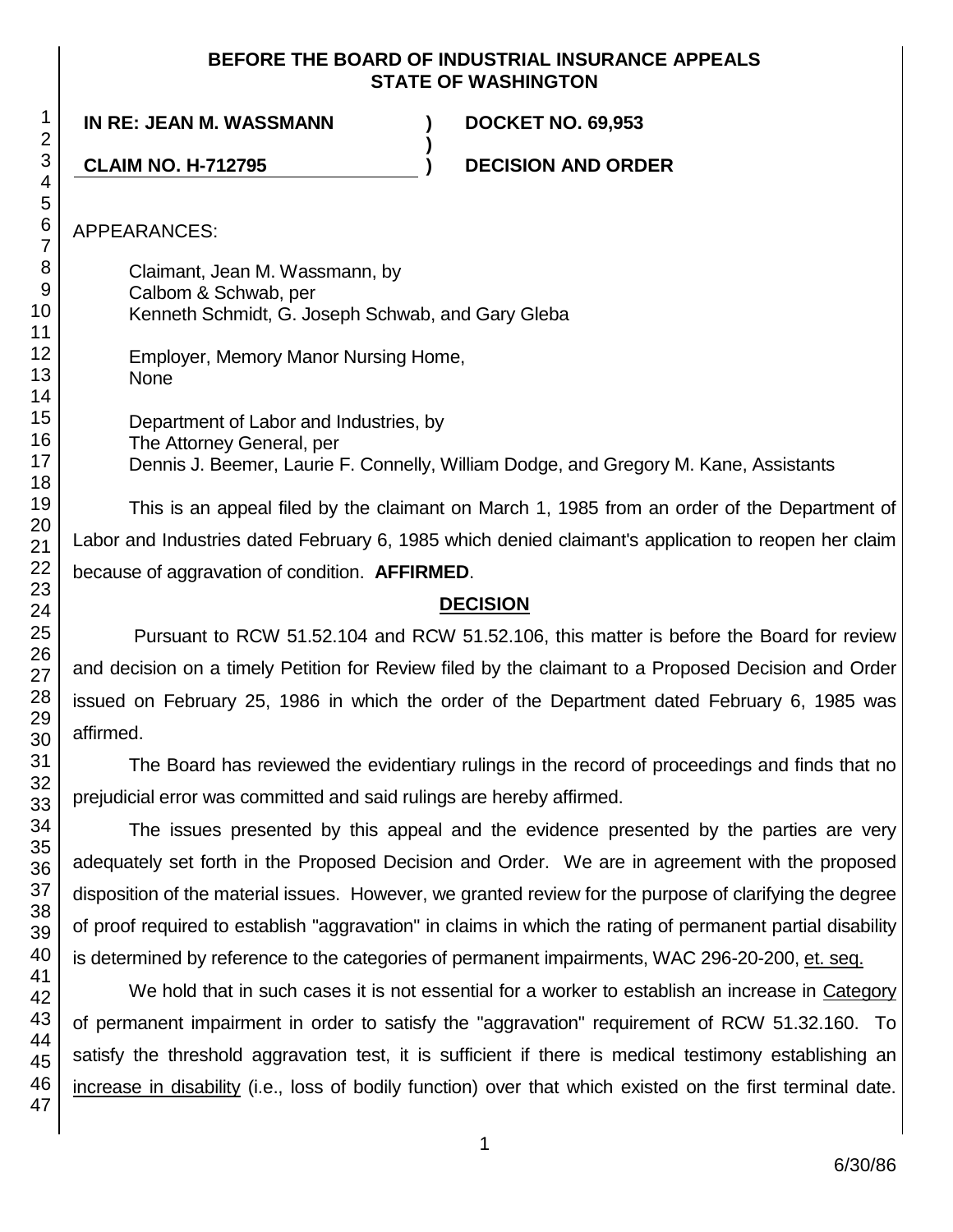#### **BEFORE THE BOARD OF INDUSTRIAL INSURANCE APPEALS STATE OF WASHINGTON**

**)**

**IN RE: JEAN M. WASSMANN ) DOCKET NO. 69,953**

**CLAIM NO. H-712795 ) DECISION AND ORDER**

APPEARANCES:

Claimant, Jean M. Wassmann, by Calbom & Schwab, per Kenneth Schmidt, G. Joseph Schwab, and Gary Gleba

Employer, Memory Manor Nursing Home, None

Department of Labor and Industries, by The Attorney General, per Dennis J. Beemer, Laurie F. Connelly, William Dodge, and Gregory M. Kane, Assistants

This is an appeal filed by the claimant on March 1, 1985 from an order of the Department of Labor and Industries dated February 6, 1985 which denied claimant's application to reopen her claim because of aggravation of condition. **AFFIRMED**.

#### **DECISION**

Pursuant to RCW 51.52.104 and RCW 51.52.106, this matter is before the Board for review and decision on a timely Petition for Review filed by the claimant to a Proposed Decision and Order issued on February 25, 1986 in which the order of the Department dated February 6, 1985 was affirmed.

The Board has reviewed the evidentiary rulings in the record of proceedings and finds that no prejudicial error was committed and said rulings are hereby affirmed.

The issues presented by this appeal and the evidence presented by the parties are very adequately set forth in the Proposed Decision and Order. We are in agreement with the proposed disposition of the material issues. However, we granted review for the purpose of clarifying the degree of proof required to establish "aggravation" in claims in which the rating of permanent partial disability is determined by reference to the categories of permanent impairments, WAC 296-20-200, et. seq.

We hold that in such cases it is not essential for a worker to establish an increase in Category of permanent impairment in order to satisfy the "aggravation" requirement of RCW 51.32.160. To satisfy the threshold aggravation test, it is sufficient if there is medical testimony establishing an increase in disability (i.e., loss of bodily function) over that which existed on the first terminal date.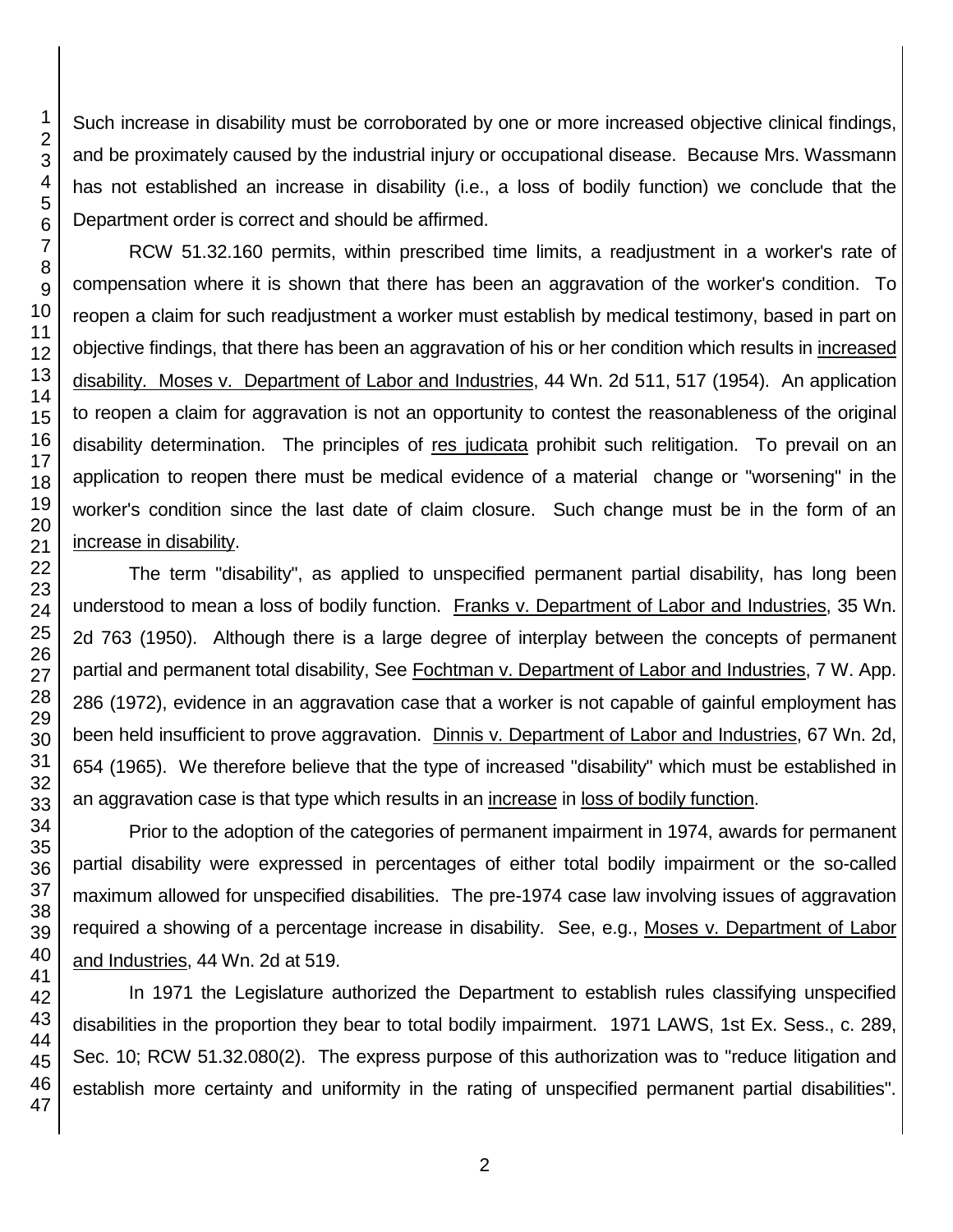Such increase in disability must be corroborated by one or more increased objective clinical findings, and be proximately caused by the industrial injury or occupational disease. Because Mrs. Wassmann has not established an increase in disability (i.e., a loss of bodily function) we conclude that the Department order is correct and should be affirmed.

RCW 51.32.160 permits, within prescribed time limits, a readjustment in a worker's rate of compensation where it is shown that there has been an aggravation of the worker's condition. To reopen a claim for such readjustment a worker must establish by medical testimony, based in part on objective findings, that there has been an aggravation of his or her condition which results in increased disability. Moses v. Department of Labor and Industries, 44 Wn. 2d 511, 517 (1954). An application to reopen a claim for aggravation is not an opportunity to contest the reasonableness of the original disability determination. The principles of res judicata prohibit such relitigation. To prevail on an application to reopen there must be medical evidence of a material change or "worsening" in the worker's condition since the last date of claim closure. Such change must be in the form of an increase in disability.

The term "disability", as applied to unspecified permanent partial disability, has long been understood to mean a loss of bodily function. Franks v. Department of Labor and Industries, 35 Wn. 2d 763 (1950). Although there is a large degree of interplay between the concepts of permanent partial and permanent total disability, See Fochtman v. Department of Labor and Industries, 7 W. App. 286 (1972), evidence in an aggravation case that a worker is not capable of gainful employment has been held insufficient to prove aggravation. Dinnis v. Department of Labor and Industries, 67 Wn. 2d, 654 (1965). We therefore believe that the type of increased "disability" which must be established in an aggravation case is that type which results in an increase in loss of bodily function.

Prior to the adoption of the categories of permanent impairment in 1974, awards for permanent partial disability were expressed in percentages of either total bodily impairment or the so-called maximum allowed for unspecified disabilities. The pre-1974 case law involving issues of aggravation required a showing of a percentage increase in disability. See, e.g., Moses v. Department of Labor and Industries, 44 Wn. 2d at 519.

In 1971 the Legislature authorized the Department to establish rules classifying unspecified disabilities in the proportion they bear to total bodily impairment. 1971 LAWS, 1st Ex. Sess., c. 289, Sec. 10; RCW 51.32.080(2). The express purpose of this authorization was to "reduce litigation and establish more certainty and uniformity in the rating of unspecified permanent partial disabilities".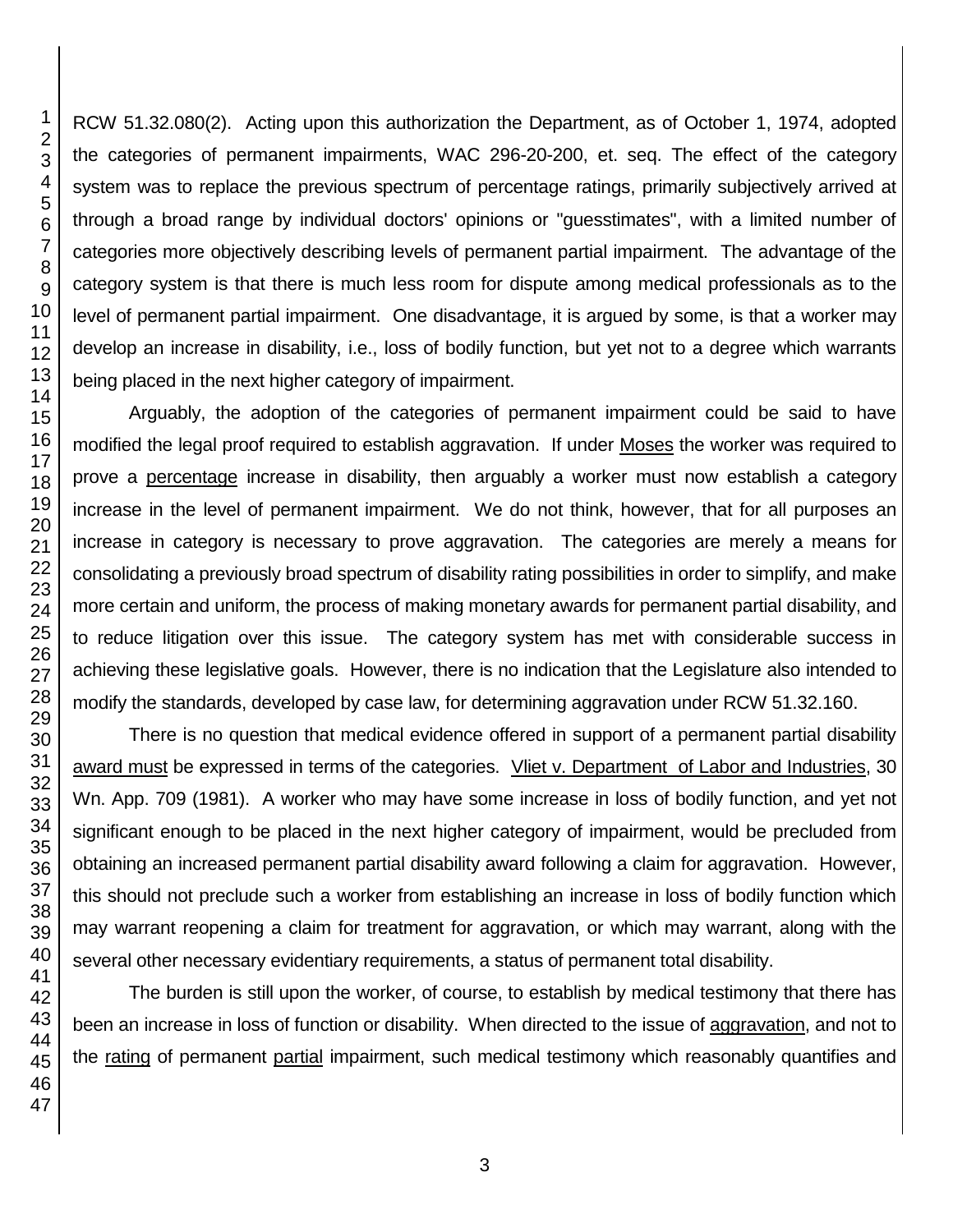RCW 51.32.080(2). Acting upon this authorization the Department, as of October 1, 1974, adopted the categories of permanent impairments, WAC 296-20-200, et. seq. The effect of the category system was to replace the previous spectrum of percentage ratings, primarily subjectively arrived at through a broad range by individual doctors' opinions or "guesstimates", with a limited number of categories more objectively describing levels of permanent partial impairment. The advantage of the category system is that there is much less room for dispute among medical professionals as to the level of permanent partial impairment. One disadvantage, it is argued by some, is that a worker may develop an increase in disability, i.e., loss of bodily function, but yet not to a degree which warrants being placed in the next higher category of impairment.

Arguably, the adoption of the categories of permanent impairment could be said to have modified the legal proof required to establish aggravation. If under Moses the worker was required to prove a percentage increase in disability, then arguably a worker must now establish a category increase in the level of permanent impairment. We do not think, however, that for all purposes an increase in category is necessary to prove aggravation. The categories are merely a means for consolidating a previously broad spectrum of disability rating possibilities in order to simplify, and make more certain and uniform, the process of making monetary awards for permanent partial disability, and to reduce litigation over this issue. The category system has met with considerable success in achieving these legislative goals. However, there is no indication that the Legislature also intended to modify the standards, developed by case law, for determining aggravation under RCW 51.32.160.

There is no question that medical evidence offered in support of a permanent partial disability award must be expressed in terms of the categories. Vliet v. Department of Labor and Industries, 30 Wn. App. 709 (1981). A worker who may have some increase in loss of bodily function, and yet not significant enough to be placed in the next higher category of impairment, would be precluded from obtaining an increased permanent partial disability award following a claim for aggravation. However, this should not preclude such a worker from establishing an increase in loss of bodily function which may warrant reopening a claim for treatment for aggravation, or which may warrant, along with the several other necessary evidentiary requirements, a status of permanent total disability.

The burden is still upon the worker, of course, to establish by medical testimony that there has been an increase in loss of function or disability. When directed to the issue of aggravation, and not to the rating of permanent partial impairment, such medical testimony which reasonably quantifies and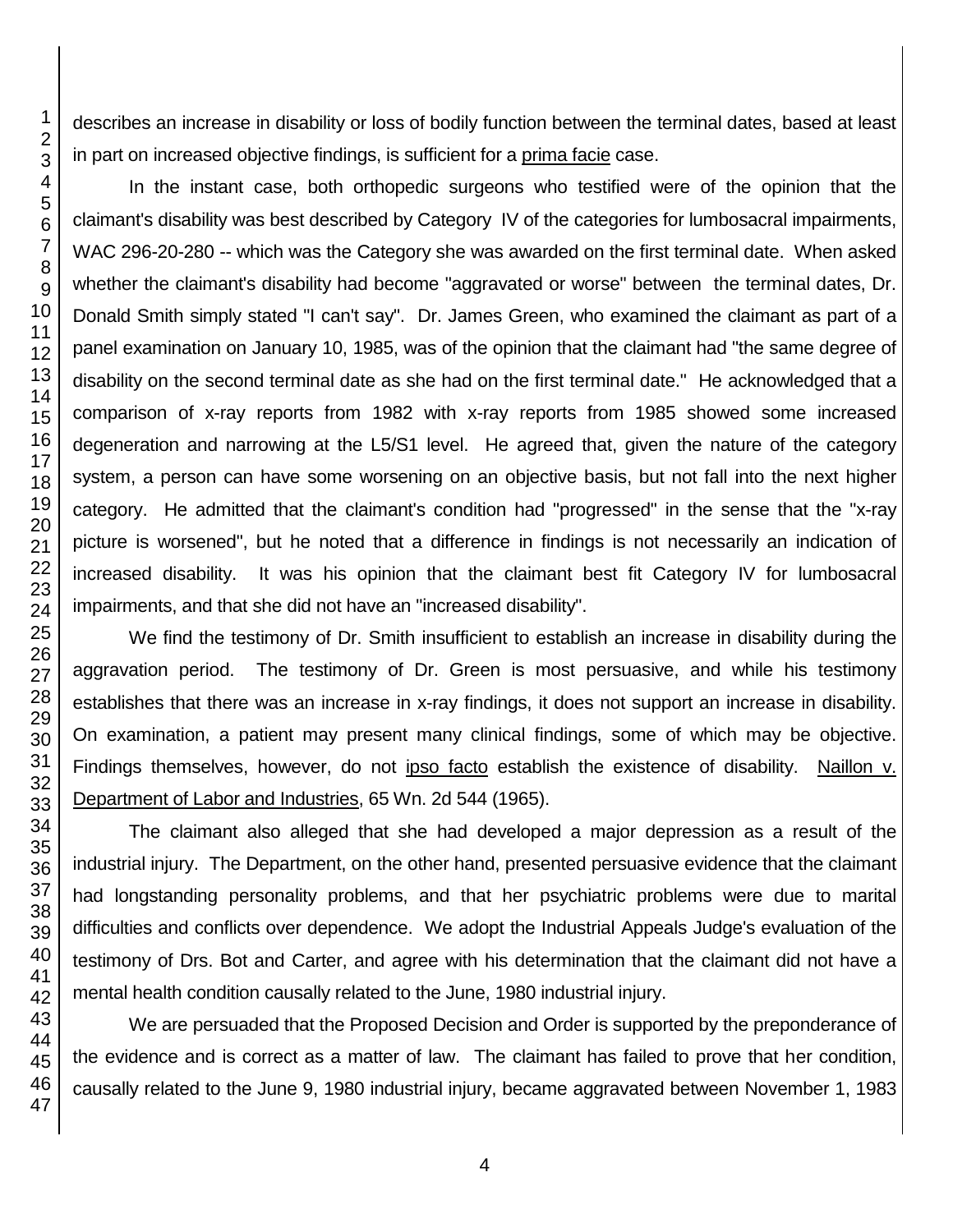describes an increase in disability or loss of bodily function between the terminal dates, based at least in part on increased objective findings, is sufficient for a prima facie case.

In the instant case, both orthopedic surgeons who testified were of the opinion that the claimant's disability was best described by Category IV of the categories for lumbosacral impairments, WAC 296-20-280 -- which was the Category she was awarded on the first terminal date. When asked whether the claimant's disability had become "aggravated or worse" between the terminal dates, Dr. Donald Smith simply stated "I can't say". Dr. James Green, who examined the claimant as part of a panel examination on January 10, 1985, was of the opinion that the claimant had "the same degree of disability on the second terminal date as she had on the first terminal date." He acknowledged that a comparison of x-ray reports from 1982 with x-ray reports from 1985 showed some increased degeneration and narrowing at the L5/S1 level. He agreed that, given the nature of the category system, a person can have some worsening on an objective basis, but not fall into the next higher category. He admitted that the claimant's condition had "progressed" in the sense that the "x-ray picture is worsened", but he noted that a difference in findings is not necessarily an indication of increased disability. It was his opinion that the claimant best fit Category IV for lumbosacral impairments, and that she did not have an "increased disability".

We find the testimony of Dr. Smith insufficient to establish an increase in disability during the aggravation period. The testimony of Dr. Green is most persuasive, and while his testimony establishes that there was an increase in x-ray findings, it does not support an increase in disability. On examination, a patient may present many clinical findings, some of which may be objective. Findings themselves, however, do not ipso facto establish the existence of disability. Naillon v. Department of Labor and Industries, 65 Wn. 2d 544 (1965).

The claimant also alleged that she had developed a major depression as a result of the industrial injury. The Department, on the other hand, presented persuasive evidence that the claimant had longstanding personality problems, and that her psychiatric problems were due to marital difficulties and conflicts over dependence. We adopt the Industrial Appeals Judge's evaluation of the testimony of Drs. Bot and Carter, and agree with his determination that the claimant did not have a mental health condition causally related to the June, 1980 industrial injury.

We are persuaded that the Proposed Decision and Order is supported by the preponderance of the evidence and is correct as a matter of law. The claimant has failed to prove that her condition, causally related to the June 9, 1980 industrial injury, became aggravated between November 1, 1983